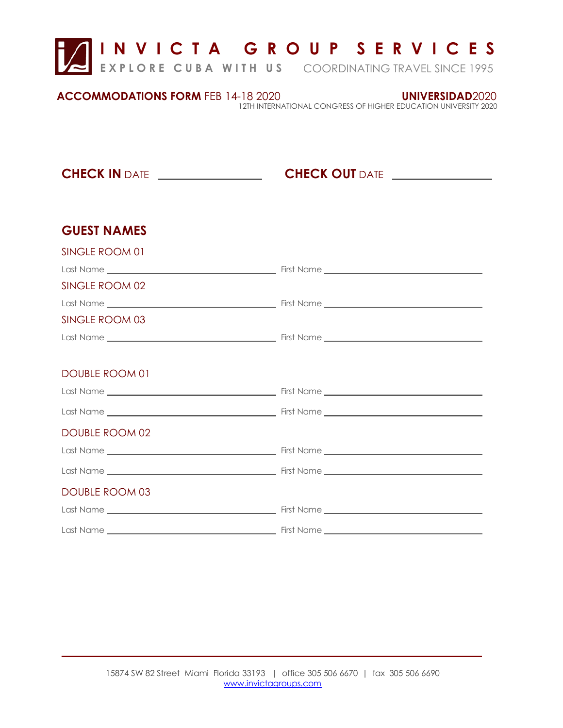

| <b>ACCOMMODATIONS FORM FEB 14-18 2020</b> | UNIVERSIDAD2020                                                 |
|-------------------------------------------|-----------------------------------------------------------------|
|                                           | 12TH INTERNATIONAL CONGRESS OF HIGHER EDUCATION UNIVERSITY 2020 |

**CHECK IN** DATE **CHECK OUT** DATE

## **GUEST NAMES**

SINGLE ROOM 01

 $\overline{\phantom{a}}$ 

| <u>JII VULLI NUUIVI UT</u> |  |
|----------------------------|--|
|                            |  |
| SINGLE ROOM 02             |  |
|                            |  |
| SINGLE ROOM 03             |  |
|                            |  |
|                            |  |
| <b>DOUBLE ROOM 01</b>      |  |
|                            |  |
|                            |  |
| <b>DOUBLE ROOM 02</b>      |  |
|                            |  |
|                            |  |
| <b>DOUBLE ROOM 03</b>      |  |
|                            |  |
|                            |  |